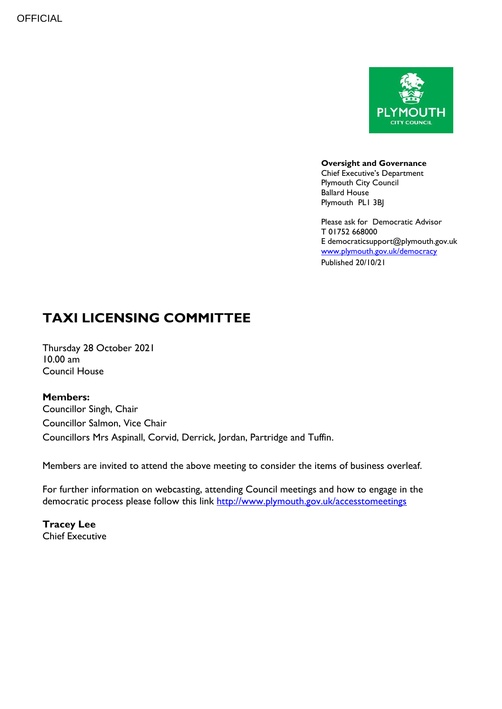

**Oversight and Governance**

Chief Executive's Department Plymouth City Council Ballard House Plymouth PL1 3BJ

Please ask for Democratic Advisor T 01752 668000 E democraticsupport@plymouth.gov.uk [www.plymouth.gov.uk/](http://www.plymouth.gov.uk/)democracy Published 20/10/21

# **TAXI LICENSING COMMITTEE**

Thursday 28 October 2021  $10.00$  am Council House

# **Members:**

Councillor Singh, Chair Councillor Salmon, Vice Chair Councillors Mrs Aspinall, Corvid, Derrick, Jordan, Partridge and Tuffin.

Members are invited to attend the above meeting to consider the items of business overleaf.

For further information on webcasting, attending Council meetings and how to engage in the democratic process please follow this link<http://www.plymouth.gov.uk/accesstomeetings>

**Tracey Lee** Chief Executive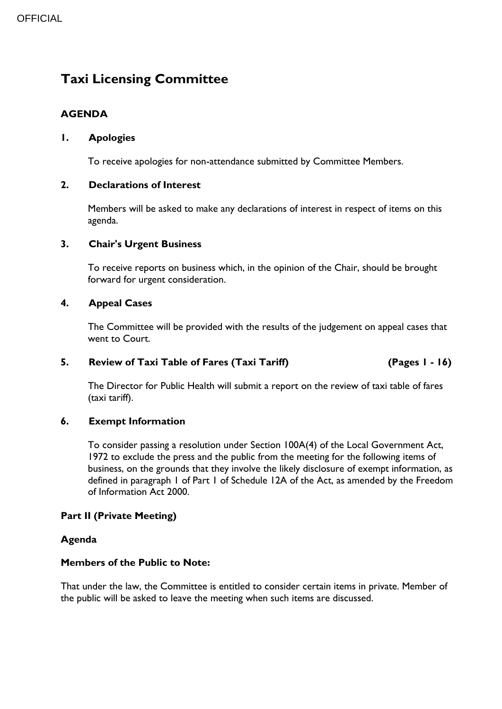# **Taxi Licensing Committee**

# **AGENDA**

# **1. Apologies**

To receive apologies for non-attendance submitted by Committee Members.

# **2. Declarations of Interest**

Members will be asked to make any declarations of interest in respect of items on this agenda.

# **3. Chair's Urgent Business**

To receive reports on business which, in the opinion of the Chair, should be brought forward for urgent consideration.

#### **4. Appeal Cases**

The Committee will be provided with the results of the judgement on appeal cases that went to Court.

#### **5. Review of Taxi Table of Fares (Taxi Tariff) (Pages 1 - 16)**

The Director for Public Health will submit a report on the review of taxi table of fares (taxi tariff).

# **6. Exempt Information**

To consider passing a resolution under Section 100A(4) of the Local Government Act, 1972 to exclude the press and the public from the meeting for the following items of business, on the grounds that they involve the likely disclosure of exempt information, as defined in paragraph 1 of Part 1 of Schedule 12A of the Act, as amended by the Freedom of Information Act 2000.

# **Part II (Private Meeting)**

# **Agenda**

#### **Members of the Public to Note:**

That under the law, the Committee is entitled to consider certain items in private. Member of the public will be asked to leave the meeting when such items are discussed.